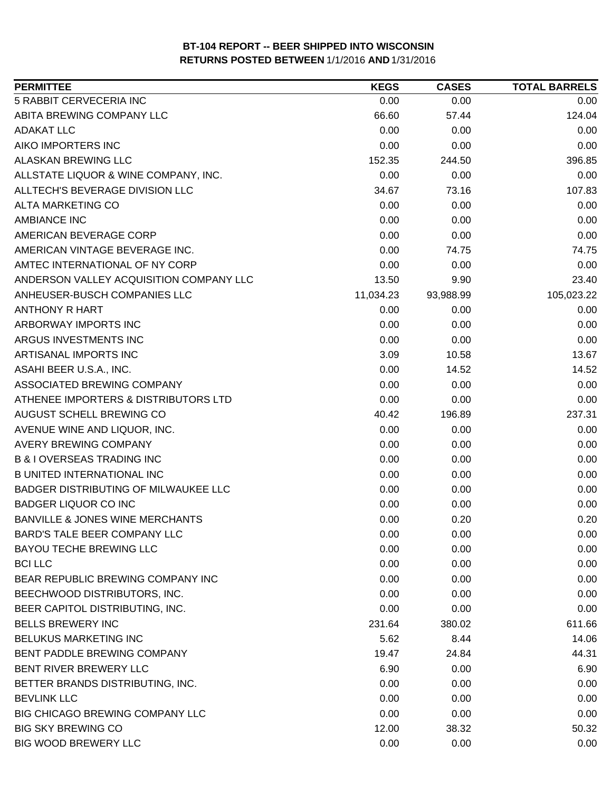| <b>PERMITTEE</b>                           | <b>KEGS</b> | <b>CASES</b> | <b>TOTAL BARRELS</b> |
|--------------------------------------------|-------------|--------------|----------------------|
| 5 RABBIT CERVECERIA INC                    | 0.00        | 0.00         | 0.00                 |
| ABITA BREWING COMPANY LLC                  | 66.60       | 57.44        | 124.04               |
| <b>ADAKAT LLC</b>                          | 0.00        | 0.00         | 0.00                 |
| AIKO IMPORTERS INC                         | 0.00        | 0.00         | 0.00                 |
| ALASKAN BREWING LLC                        | 152.35      | 244.50       | 396.85               |
| ALLSTATE LIQUOR & WINE COMPANY, INC.       | 0.00        | 0.00         | 0.00                 |
| ALLTECH'S BEVERAGE DIVISION LLC            | 34.67       | 73.16        | 107.83               |
| <b>ALTA MARKETING CO</b>                   | 0.00        | 0.00         | 0.00                 |
| <b>AMBIANCE INC</b>                        | 0.00        | 0.00         | 0.00                 |
| AMERICAN BEVERAGE CORP                     | 0.00        | 0.00         | 0.00                 |
| AMERICAN VINTAGE BEVERAGE INC.             | 0.00        | 74.75        | 74.75                |
| AMTEC INTERNATIONAL OF NY CORP             | 0.00        | 0.00         | 0.00                 |
| ANDERSON VALLEY ACQUISITION COMPANY LLC    | 13.50       | 9.90         | 23.40                |
| ANHEUSER-BUSCH COMPANIES LLC               | 11,034.23   | 93,988.99    | 105,023.22           |
| <b>ANTHONY R HART</b>                      | 0.00        | 0.00         | 0.00                 |
| ARBORWAY IMPORTS INC                       | 0.00        | 0.00         | 0.00                 |
| ARGUS INVESTMENTS INC                      | 0.00        | 0.00         | 0.00                 |
| ARTISANAL IMPORTS INC                      | 3.09        | 10.58        | 13.67                |
| ASAHI BEER U.S.A., INC.                    | 0.00        | 14.52        | 14.52                |
| ASSOCIATED BREWING COMPANY                 | 0.00        | 0.00         | 0.00                 |
| ATHENEE IMPORTERS & DISTRIBUTORS LTD       | 0.00        | 0.00         | 0.00                 |
| AUGUST SCHELL BREWING CO                   | 40.42       | 196.89       | 237.31               |
| AVENUE WINE AND LIQUOR, INC.               | 0.00        | 0.00         | 0.00                 |
| <b>AVERY BREWING COMPANY</b>               | 0.00        | 0.00         | 0.00                 |
| <b>B &amp; I OVERSEAS TRADING INC</b>      | 0.00        | 0.00         | 0.00                 |
| <b>B UNITED INTERNATIONAL INC</b>          | 0.00        | 0.00         | 0.00                 |
| BADGER DISTRIBUTING OF MILWAUKEE LLC       | 0.00        | 0.00         | 0.00                 |
| <b>BADGER LIQUOR CO INC</b>                | 0.00        | 0.00         | 0.00                 |
| <b>BANVILLE &amp; JONES WINE MERCHANTS</b> | 0.00        | 0.20         | 0.20                 |
| <b>BARD'S TALE BEER COMPANY LLC</b>        | 0.00        | 0.00         | 0.00                 |
| <b>BAYOU TECHE BREWING LLC</b>             | 0.00        | 0.00         | 0.00                 |
| <b>BCI LLC</b>                             | 0.00        | 0.00         | 0.00                 |
| BEAR REPUBLIC BREWING COMPANY INC          | 0.00        | 0.00         | 0.00                 |
| BEECHWOOD DISTRIBUTORS, INC.               | 0.00        | 0.00         | 0.00                 |
| BEER CAPITOL DISTRIBUTING, INC.            | 0.00        | 0.00         | 0.00                 |
| <b>BELLS BREWERY INC</b>                   | 231.64      | 380.02       | 611.66               |
| <b>BELUKUS MARKETING INC</b>               | 5.62        | 8.44         | 14.06                |
| BENT PADDLE BREWING COMPANY                | 19.47       | 24.84        | 44.31                |
| BENT RIVER BREWERY LLC                     | 6.90        | 0.00         | 6.90                 |
| BETTER BRANDS DISTRIBUTING, INC.           | 0.00        | 0.00         | 0.00                 |
| <b>BEVLINK LLC</b>                         | 0.00        | 0.00         | 0.00                 |
| BIG CHICAGO BREWING COMPANY LLC            | 0.00        | 0.00         | 0.00                 |
| <b>BIG SKY BREWING CO</b>                  | 12.00       | 38.32        | 50.32                |
| <b>BIG WOOD BREWERY LLC</b>                | 0.00        | 0.00         | 0.00                 |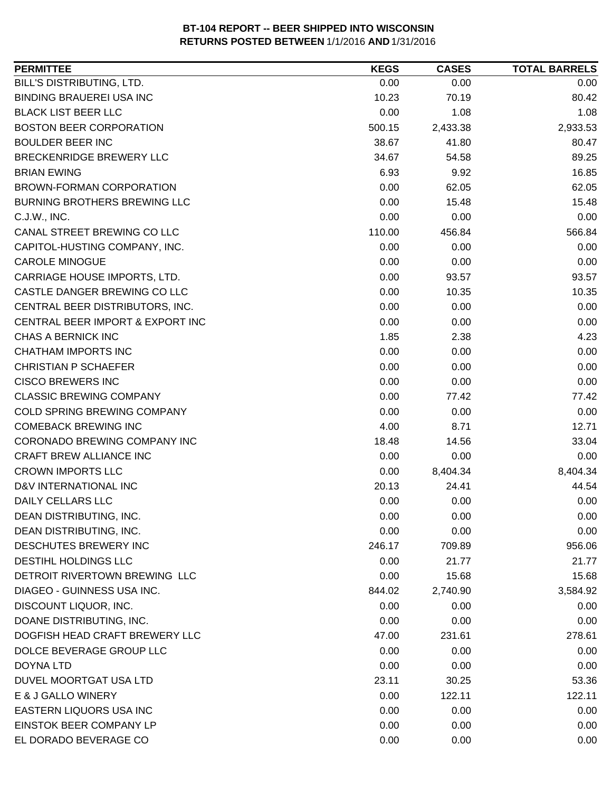| <b>PERMITTEE</b>                 | <b>KEGS</b> | <b>CASES</b> | <b>TOTAL BARRELS</b> |
|----------------------------------|-------------|--------------|----------------------|
| BILL'S DISTRIBUTING, LTD.        | 0.00        | 0.00         | 0.00                 |
| <b>BINDING BRAUEREI USA INC</b>  | 10.23       | 70.19        | 80.42                |
| <b>BLACK LIST BEER LLC</b>       | 0.00        | 1.08         | 1.08                 |
| <b>BOSTON BEER CORPORATION</b>   | 500.15      | 2,433.38     | 2,933.53             |
| <b>BOULDER BEER INC</b>          | 38.67       | 41.80        | 80.47                |
| BRECKENRIDGE BREWERY LLC         | 34.67       | 54.58        | 89.25                |
| <b>BRIAN EWING</b>               | 6.93        | 9.92         | 16.85                |
| <b>BROWN-FORMAN CORPORATION</b>  | 0.00        | 62.05        | 62.05                |
| BURNING BROTHERS BREWING LLC     | 0.00        | 15.48        | 15.48                |
| C.J.W., INC.                     | 0.00        | 0.00         | 0.00                 |
| CANAL STREET BREWING CO LLC      | 110.00      | 456.84       | 566.84               |
| CAPITOL-HUSTING COMPANY, INC.    | 0.00        | 0.00         | 0.00                 |
| <b>CAROLE MINOGUE</b>            | 0.00        | 0.00         | 0.00                 |
| CARRIAGE HOUSE IMPORTS, LTD.     | 0.00        | 93.57        | 93.57                |
| CASTLE DANGER BREWING CO LLC     | 0.00        | 10.35        | 10.35                |
| CENTRAL BEER DISTRIBUTORS, INC.  | 0.00        | 0.00         | 0.00                 |
| CENTRAL BEER IMPORT & EXPORT INC | 0.00        | 0.00         | 0.00                 |
| CHAS A BERNICK INC               | 1.85        | 2.38         | 4.23                 |
| <b>CHATHAM IMPORTS INC</b>       | 0.00        | 0.00         | 0.00                 |
| <b>CHRISTIAN P SCHAEFER</b>      | 0.00        | 0.00         | 0.00                 |
| <b>CISCO BREWERS INC</b>         | 0.00        | 0.00         | 0.00                 |
| <b>CLASSIC BREWING COMPANY</b>   | 0.00        | 77.42        | 77.42                |
| COLD SPRING BREWING COMPANY      | 0.00        | 0.00         | 0.00                 |
| <b>COMEBACK BREWING INC</b>      | 4.00        | 8.71         | 12.71                |
| CORONADO BREWING COMPANY INC     | 18.48       | 14.56        | 33.04                |
| CRAFT BREW ALLIANCE INC          | 0.00        | 0.00         | 0.00                 |
| <b>CROWN IMPORTS LLC</b>         | 0.00        | 8,404.34     | 8,404.34             |
| D&V INTERNATIONAL INC            | 20.13       | 24.41        | 44.54                |
| DAILY CELLARS LLC                | 0.00        | 0.00         | 0.00                 |
| DEAN DISTRIBUTING, INC.          | 0.00        | 0.00         | 0.00                 |
| DEAN DISTRIBUTING, INC.          | 0.00        | 0.00         | 0.00                 |
| <b>DESCHUTES BREWERY INC</b>     | 246.17      | 709.89       | 956.06               |
| DESTIHL HOLDINGS LLC             | 0.00        | 21.77        | 21.77                |
| DETROIT RIVERTOWN BREWING LLC    | 0.00        | 15.68        | 15.68                |
| DIAGEO - GUINNESS USA INC.       | 844.02      | 2,740.90     | 3,584.92             |
| DISCOUNT LIQUOR, INC.            | 0.00        | 0.00         | 0.00                 |
| DOANE DISTRIBUTING, INC.         | 0.00        | 0.00         | 0.00                 |
| DOGFISH HEAD CRAFT BREWERY LLC   | 47.00       | 231.61       | 278.61               |
| DOLCE BEVERAGE GROUP LLC         | 0.00        | 0.00         | 0.00                 |
| DOYNA LTD                        | 0.00        | 0.00         | 0.00                 |
| DUVEL MOORTGAT USA LTD           | 23.11       | 30.25        | 53.36                |
| E & J GALLO WINERY               | 0.00        | 122.11       | 122.11               |
| EASTERN LIQUORS USA INC          | 0.00        | 0.00         | 0.00                 |
| EINSTOK BEER COMPANY LP          | 0.00        | 0.00         | 0.00                 |
| EL DORADO BEVERAGE CO            | 0.00        | 0.00         | 0.00                 |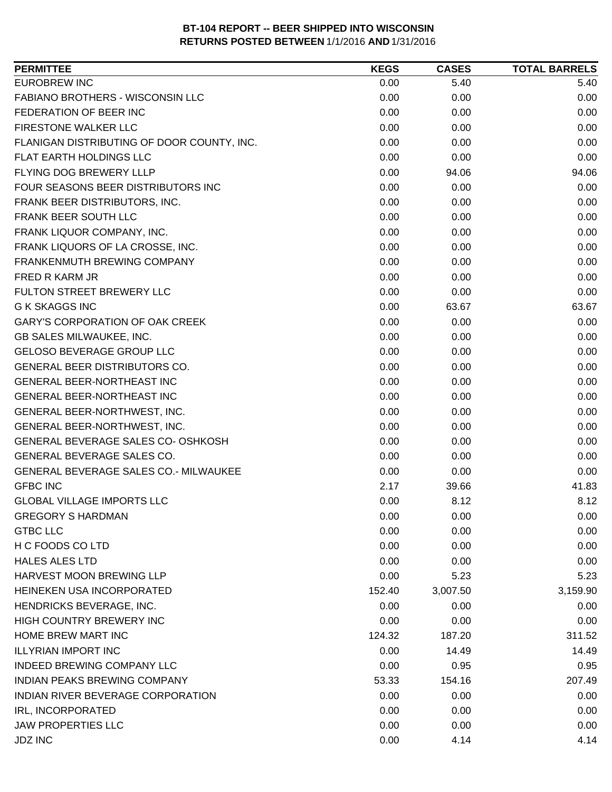| 0.00<br>5.40<br>5.40<br>0.00<br>0.00<br>0.00<br>0.00<br>0.00<br>0.00<br>0.00<br>0.00<br>0.00<br>0.00<br>0.00<br>0.00<br>0.00<br>0.00<br>0.00<br>0.00<br>94.06<br>94.06<br>0.00<br>0.00<br>0.00<br>0.00<br>0.00<br>0.00<br>0.00<br>0.00<br>0.00<br>0.00<br>0.00<br>0.00<br>0.00<br>0.00<br>0.00<br>0.00<br>0.00<br>0.00<br>0.00<br>0.00<br>0.00<br>0.00<br>0.00<br>0.00<br>0.00<br>63.67<br>63.67<br>0.00<br>0.00<br>0.00<br>0.00<br>0.00<br>0.00<br>0.00<br>0.00<br>0.00<br>0.00<br>0.00<br>0.00<br>0.00<br>0.00<br>0.00<br>0.00<br>0.00<br>0.00<br>0.00<br>0.00<br>0.00<br>0.00<br>0.00<br>0.00<br>0.00<br>0.00<br>0.00<br>0.00<br>0.00<br>0.00<br>0.00<br>0.00<br>0.00<br>2.17<br>41.83<br>39.66<br>0.00<br>8.12<br>8.12<br>0.00<br>0.00<br>0.00<br>0.00<br>0.00<br>0.00<br>0.00<br>0.00<br>0.00<br>0.00<br>0.00<br>0.00<br>0.00<br>5.23<br>5.23<br>152.40<br>3,007.50<br>3,159.90<br>0.00<br>0.00<br>0.00<br>0.00<br>0.00<br>0.00<br>311.52<br>124.32<br>187.20<br>0.00<br>14.49<br>14.49<br>0.00<br>0.95<br>0.95<br>207.49<br>53.33<br>154.16<br>0.00<br>0.00<br>0.00<br>0.00<br>0.00<br>0.00<br>0.00<br>0.00<br>0.00 | <b>PERMITTEE</b>                           | <b>KEGS</b> | <b>CASES</b> | <b>TOTAL BARRELS</b> |
|---------------------------------------------------------------------------------------------------------------------------------------------------------------------------------------------------------------------------------------------------------------------------------------------------------------------------------------------------------------------------------------------------------------------------------------------------------------------------------------------------------------------------------------------------------------------------------------------------------------------------------------------------------------------------------------------------------------------------------------------------------------------------------------------------------------------------------------------------------------------------------------------------------------------------------------------------------------------------------------------------------------------------------------------------------------------------------------------------------------------------|--------------------------------------------|-------------|--------------|----------------------|
|                                                                                                                                                                                                                                                                                                                                                                                                                                                                                                                                                                                                                                                                                                                                                                                                                                                                                                                                                                                                                                                                                                                           | <b>EUROBREW INC</b>                        |             |              |                      |
|                                                                                                                                                                                                                                                                                                                                                                                                                                                                                                                                                                                                                                                                                                                                                                                                                                                                                                                                                                                                                                                                                                                           | FABIANO BROTHERS - WISCONSIN LLC           |             |              |                      |
|                                                                                                                                                                                                                                                                                                                                                                                                                                                                                                                                                                                                                                                                                                                                                                                                                                                                                                                                                                                                                                                                                                                           | FEDERATION OF BEER INC                     |             |              |                      |
|                                                                                                                                                                                                                                                                                                                                                                                                                                                                                                                                                                                                                                                                                                                                                                                                                                                                                                                                                                                                                                                                                                                           | FIRESTONE WALKER LLC                       |             |              |                      |
|                                                                                                                                                                                                                                                                                                                                                                                                                                                                                                                                                                                                                                                                                                                                                                                                                                                                                                                                                                                                                                                                                                                           | FLANIGAN DISTRIBUTING OF DOOR COUNTY, INC. |             |              |                      |
|                                                                                                                                                                                                                                                                                                                                                                                                                                                                                                                                                                                                                                                                                                                                                                                                                                                                                                                                                                                                                                                                                                                           | FLAT EARTH HOLDINGS LLC                    |             |              |                      |
|                                                                                                                                                                                                                                                                                                                                                                                                                                                                                                                                                                                                                                                                                                                                                                                                                                                                                                                                                                                                                                                                                                                           | FLYING DOG BREWERY LLLP                    |             |              |                      |
|                                                                                                                                                                                                                                                                                                                                                                                                                                                                                                                                                                                                                                                                                                                                                                                                                                                                                                                                                                                                                                                                                                                           | FOUR SEASONS BEER DISTRIBUTORS INC         |             |              |                      |
|                                                                                                                                                                                                                                                                                                                                                                                                                                                                                                                                                                                                                                                                                                                                                                                                                                                                                                                                                                                                                                                                                                                           | FRANK BEER DISTRIBUTORS, INC.              |             |              |                      |
|                                                                                                                                                                                                                                                                                                                                                                                                                                                                                                                                                                                                                                                                                                                                                                                                                                                                                                                                                                                                                                                                                                                           | FRANK BEER SOUTH LLC                       |             |              |                      |
|                                                                                                                                                                                                                                                                                                                                                                                                                                                                                                                                                                                                                                                                                                                                                                                                                                                                                                                                                                                                                                                                                                                           | FRANK LIQUOR COMPANY, INC.                 |             |              |                      |
|                                                                                                                                                                                                                                                                                                                                                                                                                                                                                                                                                                                                                                                                                                                                                                                                                                                                                                                                                                                                                                                                                                                           | FRANK LIQUORS OF LA CROSSE, INC.           |             |              |                      |
|                                                                                                                                                                                                                                                                                                                                                                                                                                                                                                                                                                                                                                                                                                                                                                                                                                                                                                                                                                                                                                                                                                                           | FRANKENMUTH BREWING COMPANY                |             |              |                      |
|                                                                                                                                                                                                                                                                                                                                                                                                                                                                                                                                                                                                                                                                                                                                                                                                                                                                                                                                                                                                                                                                                                                           | FRED R KARM JR                             |             |              |                      |
|                                                                                                                                                                                                                                                                                                                                                                                                                                                                                                                                                                                                                                                                                                                                                                                                                                                                                                                                                                                                                                                                                                                           | <b>FULTON STREET BREWERY LLC</b>           |             |              |                      |
|                                                                                                                                                                                                                                                                                                                                                                                                                                                                                                                                                                                                                                                                                                                                                                                                                                                                                                                                                                                                                                                                                                                           | <b>G K SKAGGS INC</b>                      |             |              |                      |
|                                                                                                                                                                                                                                                                                                                                                                                                                                                                                                                                                                                                                                                                                                                                                                                                                                                                                                                                                                                                                                                                                                                           | GARY'S CORPORATION OF OAK CREEK            |             |              |                      |
|                                                                                                                                                                                                                                                                                                                                                                                                                                                                                                                                                                                                                                                                                                                                                                                                                                                                                                                                                                                                                                                                                                                           | GB SALES MILWAUKEE, INC.                   |             |              |                      |
|                                                                                                                                                                                                                                                                                                                                                                                                                                                                                                                                                                                                                                                                                                                                                                                                                                                                                                                                                                                                                                                                                                                           | <b>GELOSO BEVERAGE GROUP LLC</b>           |             |              |                      |
|                                                                                                                                                                                                                                                                                                                                                                                                                                                                                                                                                                                                                                                                                                                                                                                                                                                                                                                                                                                                                                                                                                                           | <b>GENERAL BEER DISTRIBUTORS CO.</b>       |             |              |                      |
|                                                                                                                                                                                                                                                                                                                                                                                                                                                                                                                                                                                                                                                                                                                                                                                                                                                                                                                                                                                                                                                                                                                           | <b>GENERAL BEER-NORTHEAST INC</b>          |             |              |                      |
|                                                                                                                                                                                                                                                                                                                                                                                                                                                                                                                                                                                                                                                                                                                                                                                                                                                                                                                                                                                                                                                                                                                           | GENERAL BEER-NORTHEAST INC                 |             |              |                      |
|                                                                                                                                                                                                                                                                                                                                                                                                                                                                                                                                                                                                                                                                                                                                                                                                                                                                                                                                                                                                                                                                                                                           | GENERAL BEER-NORTHWEST, INC.               |             |              |                      |
|                                                                                                                                                                                                                                                                                                                                                                                                                                                                                                                                                                                                                                                                                                                                                                                                                                                                                                                                                                                                                                                                                                                           | GENERAL BEER-NORTHWEST, INC.               |             |              |                      |
|                                                                                                                                                                                                                                                                                                                                                                                                                                                                                                                                                                                                                                                                                                                                                                                                                                                                                                                                                                                                                                                                                                                           | GENERAL BEVERAGE SALES CO- OSHKOSH         |             |              |                      |
|                                                                                                                                                                                                                                                                                                                                                                                                                                                                                                                                                                                                                                                                                                                                                                                                                                                                                                                                                                                                                                                                                                                           | GENERAL BEVERAGE SALES CO.                 |             |              |                      |
|                                                                                                                                                                                                                                                                                                                                                                                                                                                                                                                                                                                                                                                                                                                                                                                                                                                                                                                                                                                                                                                                                                                           | GENERAL BEVERAGE SALES CO.- MILWAUKEE      |             |              |                      |
|                                                                                                                                                                                                                                                                                                                                                                                                                                                                                                                                                                                                                                                                                                                                                                                                                                                                                                                                                                                                                                                                                                                           | <b>GFBC INC</b>                            |             |              |                      |
|                                                                                                                                                                                                                                                                                                                                                                                                                                                                                                                                                                                                                                                                                                                                                                                                                                                                                                                                                                                                                                                                                                                           | <b>GLOBAL VILLAGE IMPORTS LLC</b>          |             |              |                      |
|                                                                                                                                                                                                                                                                                                                                                                                                                                                                                                                                                                                                                                                                                                                                                                                                                                                                                                                                                                                                                                                                                                                           | <b>GREGORY S HARDMAN</b>                   |             |              |                      |
|                                                                                                                                                                                                                                                                                                                                                                                                                                                                                                                                                                                                                                                                                                                                                                                                                                                                                                                                                                                                                                                                                                                           | <b>GTBC LLC</b>                            |             |              |                      |
|                                                                                                                                                                                                                                                                                                                                                                                                                                                                                                                                                                                                                                                                                                                                                                                                                                                                                                                                                                                                                                                                                                                           | H C FOODS CO LTD                           |             |              |                      |
|                                                                                                                                                                                                                                                                                                                                                                                                                                                                                                                                                                                                                                                                                                                                                                                                                                                                                                                                                                                                                                                                                                                           | <b>HALES ALES LTD</b>                      |             |              |                      |
|                                                                                                                                                                                                                                                                                                                                                                                                                                                                                                                                                                                                                                                                                                                                                                                                                                                                                                                                                                                                                                                                                                                           | HARVEST MOON BREWING LLP                   |             |              |                      |
|                                                                                                                                                                                                                                                                                                                                                                                                                                                                                                                                                                                                                                                                                                                                                                                                                                                                                                                                                                                                                                                                                                                           | HEINEKEN USA INCORPORATED                  |             |              |                      |
|                                                                                                                                                                                                                                                                                                                                                                                                                                                                                                                                                                                                                                                                                                                                                                                                                                                                                                                                                                                                                                                                                                                           | HENDRICKS BEVERAGE, INC.                   |             |              |                      |
|                                                                                                                                                                                                                                                                                                                                                                                                                                                                                                                                                                                                                                                                                                                                                                                                                                                                                                                                                                                                                                                                                                                           | HIGH COUNTRY BREWERY INC                   |             |              |                      |
|                                                                                                                                                                                                                                                                                                                                                                                                                                                                                                                                                                                                                                                                                                                                                                                                                                                                                                                                                                                                                                                                                                                           | HOME BREW MART INC                         |             |              |                      |
|                                                                                                                                                                                                                                                                                                                                                                                                                                                                                                                                                                                                                                                                                                                                                                                                                                                                                                                                                                                                                                                                                                                           | <b>ILLYRIAN IMPORT INC</b>                 |             |              |                      |
|                                                                                                                                                                                                                                                                                                                                                                                                                                                                                                                                                                                                                                                                                                                                                                                                                                                                                                                                                                                                                                                                                                                           | INDEED BREWING COMPANY LLC                 |             |              |                      |
|                                                                                                                                                                                                                                                                                                                                                                                                                                                                                                                                                                                                                                                                                                                                                                                                                                                                                                                                                                                                                                                                                                                           | <b>INDIAN PEAKS BREWING COMPANY</b>        |             |              |                      |
|                                                                                                                                                                                                                                                                                                                                                                                                                                                                                                                                                                                                                                                                                                                                                                                                                                                                                                                                                                                                                                                                                                                           | INDIAN RIVER BEVERAGE CORPORATION          |             |              |                      |
|                                                                                                                                                                                                                                                                                                                                                                                                                                                                                                                                                                                                                                                                                                                                                                                                                                                                                                                                                                                                                                                                                                                           | IRL, INCORPORATED                          |             |              |                      |
|                                                                                                                                                                                                                                                                                                                                                                                                                                                                                                                                                                                                                                                                                                                                                                                                                                                                                                                                                                                                                                                                                                                           | <b>JAW PROPERTIES LLC</b>                  |             |              |                      |
|                                                                                                                                                                                                                                                                                                                                                                                                                                                                                                                                                                                                                                                                                                                                                                                                                                                                                                                                                                                                                                                                                                                           | <b>JDZ INC</b>                             | 0.00        | 4.14         | 4.14                 |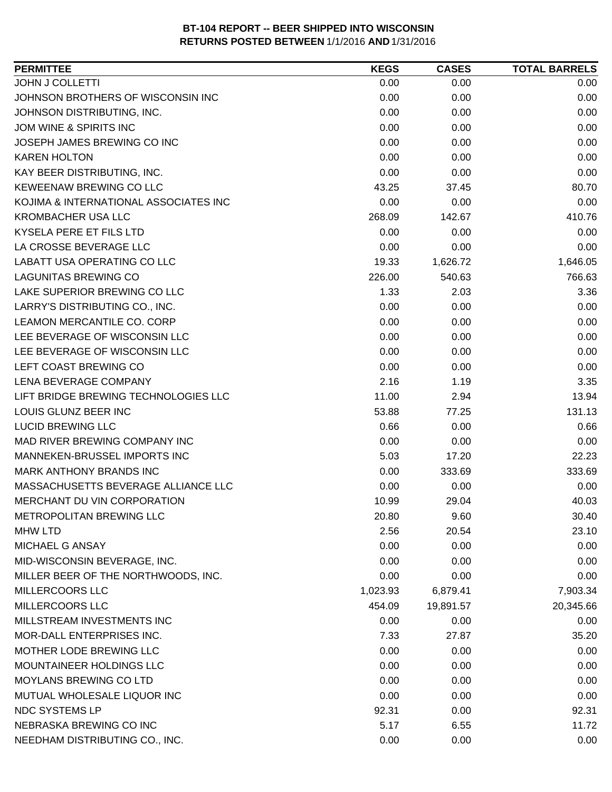| <b>PERMITTEE</b>                      | <b>KEGS</b> | <b>CASES</b> | <b>TOTAL BARRELS</b> |
|---------------------------------------|-------------|--------------|----------------------|
| <b>JOHN J COLLETTI</b>                | 0.00        | 0.00         | 0.00                 |
| JOHNSON BROTHERS OF WISCONSIN INC     | 0.00        | 0.00         | 0.00                 |
| JOHNSON DISTRIBUTING, INC.            | 0.00        | 0.00         | 0.00                 |
| JOM WINE & SPIRITS INC                | 0.00        | 0.00         | 0.00                 |
| JOSEPH JAMES BREWING CO INC           | 0.00        | 0.00         | 0.00                 |
| <b>KAREN HOLTON</b>                   | 0.00        | 0.00         | 0.00                 |
| KAY BEER DISTRIBUTING, INC.           | 0.00        | 0.00         | 0.00                 |
| KEWEENAW BREWING CO LLC               | 43.25       | 37.45        | 80.70                |
| KOJIMA & INTERNATIONAL ASSOCIATES INC | 0.00        | 0.00         | 0.00                 |
| <b>KROMBACHER USA LLC</b>             | 268.09      | 142.67       | 410.76               |
| KYSELA PERE ET FILS LTD               | 0.00        | 0.00         | 0.00                 |
| LA CROSSE BEVERAGE LLC                | 0.00        | 0.00         | 0.00                 |
| LABATT USA OPERATING CO LLC           | 19.33       | 1,626.72     | 1,646.05             |
| <b>LAGUNITAS BREWING CO</b>           | 226.00      | 540.63       | 766.63               |
| LAKE SUPERIOR BREWING CO LLC          | 1.33        | 2.03         | 3.36                 |
| LARRY'S DISTRIBUTING CO., INC.        | 0.00        | 0.00         | 0.00                 |
| LEAMON MERCANTILE CO. CORP            | 0.00        | 0.00         | 0.00                 |
| LEE BEVERAGE OF WISCONSIN LLC         | 0.00        | 0.00         | 0.00                 |
| LEE BEVERAGE OF WISCONSIN LLC         | 0.00        | 0.00         | 0.00                 |
| LEFT COAST BREWING CO                 | 0.00        | 0.00         | 0.00                 |
| LENA BEVERAGE COMPANY                 | 2.16        | 1.19         | 3.35                 |
| LIFT BRIDGE BREWING TECHNOLOGIES LLC  | 11.00       | 2.94         | 13.94                |
| LOUIS GLUNZ BEER INC                  | 53.88       | 77.25        | 131.13               |
| <b>LUCID BREWING LLC</b>              | 0.66        | 0.00         | 0.66                 |
| MAD RIVER BREWING COMPANY INC         | 0.00        | 0.00         | 0.00                 |
| MANNEKEN-BRUSSEL IMPORTS INC          | 5.03        | 17.20        | 22.23                |
| <b>MARK ANTHONY BRANDS INC</b>        | 0.00        | 333.69       | 333.69               |
| MASSACHUSETTS BEVERAGE ALLIANCE LLC   | 0.00        | 0.00         | 0.00                 |
| MERCHANT DU VIN CORPORATION           | 10.99       | 29.04        | 40.03                |
| METROPOLITAN BREWING LLC              | 20.80       | 9.60         | 30.40                |
| <b>MHW LTD</b>                        | 2.56        | 20.54        | 23.10                |
| <b>MICHAEL G ANSAY</b>                | 0.00        | 0.00         | 0.00                 |
| MID-WISCONSIN BEVERAGE, INC.          | 0.00        | 0.00         | 0.00                 |
| MILLER BEER OF THE NORTHWOODS, INC.   | 0.00        | 0.00         | 0.00                 |
| <b>MILLERCOORS LLC</b>                | 1,023.93    | 6,879.41     | 7,903.34             |
| <b>MILLERCOORS LLC</b>                | 454.09      | 19,891.57    | 20,345.66            |
| MILLSTREAM INVESTMENTS INC            | 0.00        | 0.00         | 0.00                 |
| MOR-DALL ENTERPRISES INC.             | 7.33        | 27.87        | 35.20                |
| MOTHER LODE BREWING LLC               | 0.00        | 0.00         | 0.00                 |
| MOUNTAINEER HOLDINGS LLC              | 0.00        | 0.00         | 0.00                 |
| MOYLANS BREWING CO LTD                | 0.00        | 0.00         | 0.00                 |
| MUTUAL WHOLESALE LIQUOR INC           | 0.00        | 0.00         | 0.00                 |
| NDC SYSTEMS LP                        | 92.31       | 0.00         | 92.31                |
| NEBRASKA BREWING CO INC               | 5.17        | 6.55         | 11.72                |
| NEEDHAM DISTRIBUTING CO., INC.        | 0.00        | 0.00         | 0.00                 |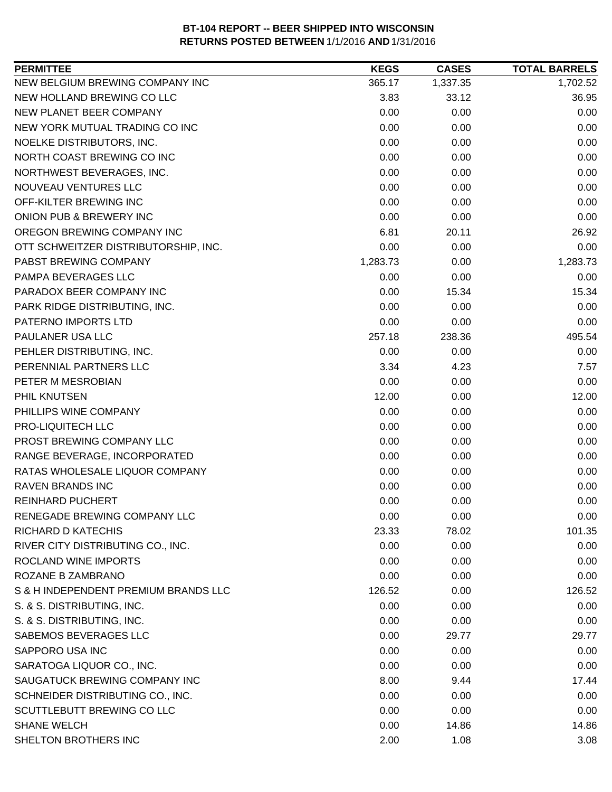| NEW BELGIUM BREWING COMPANY INC<br>365.17<br>1,337.35<br>1,702.52<br>NEW HOLLAND BREWING CO LLC<br>36.95<br>3.83<br>33.12<br>NEW PLANET BEER COMPANY<br>0.00<br>0.00<br>0.00<br>NEW YORK MUTUAL TRADING CO INC<br>0.00<br>0.00<br>0.00<br>0.00<br>0.00<br>NOELKE DISTRIBUTORS, INC.<br>0.00<br>NORTH COAST BREWING CO INC<br>0.00<br>0.00<br>0.00<br>NORTHWEST BEVERAGES, INC.<br>0.00<br>0.00<br>0.00<br>NOUVEAU VENTURES LLC<br>0.00<br>0.00<br>0.00<br>OFF-KILTER BREWING INC<br>0.00<br>0.00<br>0.00<br>ONION PUB & BREWERY INC<br>0.00<br>0.00<br>0.00<br>OREGON BREWING COMPANY INC<br>6.81<br>20.11<br>26.92<br>OTT SCHWEITZER DISTRIBUTORSHIP, INC.<br>0.00<br>0.00<br>0.00<br>1,283.73<br>PABST BREWING COMPANY<br>1,283.73<br>0.00<br>PAMPA BEVERAGES LLC<br>0.00<br>0.00<br>0.00<br>PARADOX BEER COMPANY INC<br>0.00<br>15.34<br>15.34<br>PARK RIDGE DISTRIBUTING, INC.<br>0.00<br>0.00<br>0.00<br>0.00<br>0.00<br>PATERNO IMPORTS LTD<br>0.00<br>495.54<br>PAULANER USA LLC<br>257.18<br>238.36<br>PEHLER DISTRIBUTING, INC.<br>0.00<br>0.00<br>0.00<br>PERENNIAL PARTNERS LLC<br>3.34<br>4.23<br>7.57<br>0.00<br>PETER M MESROBIAN<br>0.00<br>0.00<br>12.00<br>PHIL KNUTSEN<br>12.00<br>0.00<br>PHILLIPS WINE COMPANY<br>0.00<br>0.00<br>0.00<br>PRO-LIQUITECH LLC<br>0.00<br>0.00<br>0.00<br>PROST BREWING COMPANY LLC<br>0.00<br>0.00<br>0.00<br>RANGE BEVERAGE, INCORPORATED<br>0.00<br>0.00<br>0.00<br>RATAS WHOLESALE LIQUOR COMPANY<br>0.00<br>0.00<br>0.00<br><b>RAVEN BRANDS INC</b><br>0.00<br>0.00<br>0.00<br><b>REINHARD PUCHERT</b><br>0.00<br>0.00<br>0.00<br>RENEGADE BREWING COMPANY LLC<br>0.00<br>0.00<br>0.00<br>101.35<br><b>RICHARD D KATECHIS</b><br>23.33<br>78.02<br>RIVER CITY DISTRIBUTING CO., INC.<br>0.00<br>0.00<br>0.00<br>ROCLAND WINE IMPORTS<br>0.00<br>0.00<br>0.00<br>ROZANE B ZAMBRANO<br>0.00<br>0.00<br>0.00<br>S & H INDEPENDENT PREMIUM BRANDS LLC<br>126.52<br>126.52<br>0.00 |
|-------------------------------------------------------------------------------------------------------------------------------------------------------------------------------------------------------------------------------------------------------------------------------------------------------------------------------------------------------------------------------------------------------------------------------------------------------------------------------------------------------------------------------------------------------------------------------------------------------------------------------------------------------------------------------------------------------------------------------------------------------------------------------------------------------------------------------------------------------------------------------------------------------------------------------------------------------------------------------------------------------------------------------------------------------------------------------------------------------------------------------------------------------------------------------------------------------------------------------------------------------------------------------------------------------------------------------------------------------------------------------------------------------------------------------------------------------------------------------------------------------------------------------------------------------------------------------------------------------------------------------------------------------------------------------------------------------------------------------------------------------------------------------------------------------------------------------------------------------------------------------------------------------------------------------------|
|                                                                                                                                                                                                                                                                                                                                                                                                                                                                                                                                                                                                                                                                                                                                                                                                                                                                                                                                                                                                                                                                                                                                                                                                                                                                                                                                                                                                                                                                                                                                                                                                                                                                                                                                                                                                                                                                                                                                     |
|                                                                                                                                                                                                                                                                                                                                                                                                                                                                                                                                                                                                                                                                                                                                                                                                                                                                                                                                                                                                                                                                                                                                                                                                                                                                                                                                                                                                                                                                                                                                                                                                                                                                                                                                                                                                                                                                                                                                     |
|                                                                                                                                                                                                                                                                                                                                                                                                                                                                                                                                                                                                                                                                                                                                                                                                                                                                                                                                                                                                                                                                                                                                                                                                                                                                                                                                                                                                                                                                                                                                                                                                                                                                                                                                                                                                                                                                                                                                     |
|                                                                                                                                                                                                                                                                                                                                                                                                                                                                                                                                                                                                                                                                                                                                                                                                                                                                                                                                                                                                                                                                                                                                                                                                                                                                                                                                                                                                                                                                                                                                                                                                                                                                                                                                                                                                                                                                                                                                     |
|                                                                                                                                                                                                                                                                                                                                                                                                                                                                                                                                                                                                                                                                                                                                                                                                                                                                                                                                                                                                                                                                                                                                                                                                                                                                                                                                                                                                                                                                                                                                                                                                                                                                                                                                                                                                                                                                                                                                     |
|                                                                                                                                                                                                                                                                                                                                                                                                                                                                                                                                                                                                                                                                                                                                                                                                                                                                                                                                                                                                                                                                                                                                                                                                                                                                                                                                                                                                                                                                                                                                                                                                                                                                                                                                                                                                                                                                                                                                     |
|                                                                                                                                                                                                                                                                                                                                                                                                                                                                                                                                                                                                                                                                                                                                                                                                                                                                                                                                                                                                                                                                                                                                                                                                                                                                                                                                                                                                                                                                                                                                                                                                                                                                                                                                                                                                                                                                                                                                     |
|                                                                                                                                                                                                                                                                                                                                                                                                                                                                                                                                                                                                                                                                                                                                                                                                                                                                                                                                                                                                                                                                                                                                                                                                                                                                                                                                                                                                                                                                                                                                                                                                                                                                                                                                                                                                                                                                                                                                     |
|                                                                                                                                                                                                                                                                                                                                                                                                                                                                                                                                                                                                                                                                                                                                                                                                                                                                                                                                                                                                                                                                                                                                                                                                                                                                                                                                                                                                                                                                                                                                                                                                                                                                                                                                                                                                                                                                                                                                     |
|                                                                                                                                                                                                                                                                                                                                                                                                                                                                                                                                                                                                                                                                                                                                                                                                                                                                                                                                                                                                                                                                                                                                                                                                                                                                                                                                                                                                                                                                                                                                                                                                                                                                                                                                                                                                                                                                                                                                     |
|                                                                                                                                                                                                                                                                                                                                                                                                                                                                                                                                                                                                                                                                                                                                                                                                                                                                                                                                                                                                                                                                                                                                                                                                                                                                                                                                                                                                                                                                                                                                                                                                                                                                                                                                                                                                                                                                                                                                     |
|                                                                                                                                                                                                                                                                                                                                                                                                                                                                                                                                                                                                                                                                                                                                                                                                                                                                                                                                                                                                                                                                                                                                                                                                                                                                                                                                                                                                                                                                                                                                                                                                                                                                                                                                                                                                                                                                                                                                     |
|                                                                                                                                                                                                                                                                                                                                                                                                                                                                                                                                                                                                                                                                                                                                                                                                                                                                                                                                                                                                                                                                                                                                                                                                                                                                                                                                                                                                                                                                                                                                                                                                                                                                                                                                                                                                                                                                                                                                     |
|                                                                                                                                                                                                                                                                                                                                                                                                                                                                                                                                                                                                                                                                                                                                                                                                                                                                                                                                                                                                                                                                                                                                                                                                                                                                                                                                                                                                                                                                                                                                                                                                                                                                                                                                                                                                                                                                                                                                     |
|                                                                                                                                                                                                                                                                                                                                                                                                                                                                                                                                                                                                                                                                                                                                                                                                                                                                                                                                                                                                                                                                                                                                                                                                                                                                                                                                                                                                                                                                                                                                                                                                                                                                                                                                                                                                                                                                                                                                     |
|                                                                                                                                                                                                                                                                                                                                                                                                                                                                                                                                                                                                                                                                                                                                                                                                                                                                                                                                                                                                                                                                                                                                                                                                                                                                                                                                                                                                                                                                                                                                                                                                                                                                                                                                                                                                                                                                                                                                     |
|                                                                                                                                                                                                                                                                                                                                                                                                                                                                                                                                                                                                                                                                                                                                                                                                                                                                                                                                                                                                                                                                                                                                                                                                                                                                                                                                                                                                                                                                                                                                                                                                                                                                                                                                                                                                                                                                                                                                     |
|                                                                                                                                                                                                                                                                                                                                                                                                                                                                                                                                                                                                                                                                                                                                                                                                                                                                                                                                                                                                                                                                                                                                                                                                                                                                                                                                                                                                                                                                                                                                                                                                                                                                                                                                                                                                                                                                                                                                     |
|                                                                                                                                                                                                                                                                                                                                                                                                                                                                                                                                                                                                                                                                                                                                                                                                                                                                                                                                                                                                                                                                                                                                                                                                                                                                                                                                                                                                                                                                                                                                                                                                                                                                                                                                                                                                                                                                                                                                     |
|                                                                                                                                                                                                                                                                                                                                                                                                                                                                                                                                                                                                                                                                                                                                                                                                                                                                                                                                                                                                                                                                                                                                                                                                                                                                                                                                                                                                                                                                                                                                                                                                                                                                                                                                                                                                                                                                                                                                     |
|                                                                                                                                                                                                                                                                                                                                                                                                                                                                                                                                                                                                                                                                                                                                                                                                                                                                                                                                                                                                                                                                                                                                                                                                                                                                                                                                                                                                                                                                                                                                                                                                                                                                                                                                                                                                                                                                                                                                     |
|                                                                                                                                                                                                                                                                                                                                                                                                                                                                                                                                                                                                                                                                                                                                                                                                                                                                                                                                                                                                                                                                                                                                                                                                                                                                                                                                                                                                                                                                                                                                                                                                                                                                                                                                                                                                                                                                                                                                     |
|                                                                                                                                                                                                                                                                                                                                                                                                                                                                                                                                                                                                                                                                                                                                                                                                                                                                                                                                                                                                                                                                                                                                                                                                                                                                                                                                                                                                                                                                                                                                                                                                                                                                                                                                                                                                                                                                                                                                     |
|                                                                                                                                                                                                                                                                                                                                                                                                                                                                                                                                                                                                                                                                                                                                                                                                                                                                                                                                                                                                                                                                                                                                                                                                                                                                                                                                                                                                                                                                                                                                                                                                                                                                                                                                                                                                                                                                                                                                     |
|                                                                                                                                                                                                                                                                                                                                                                                                                                                                                                                                                                                                                                                                                                                                                                                                                                                                                                                                                                                                                                                                                                                                                                                                                                                                                                                                                                                                                                                                                                                                                                                                                                                                                                                                                                                                                                                                                                                                     |
|                                                                                                                                                                                                                                                                                                                                                                                                                                                                                                                                                                                                                                                                                                                                                                                                                                                                                                                                                                                                                                                                                                                                                                                                                                                                                                                                                                                                                                                                                                                                                                                                                                                                                                                                                                                                                                                                                                                                     |
|                                                                                                                                                                                                                                                                                                                                                                                                                                                                                                                                                                                                                                                                                                                                                                                                                                                                                                                                                                                                                                                                                                                                                                                                                                                                                                                                                                                                                                                                                                                                                                                                                                                                                                                                                                                                                                                                                                                                     |
|                                                                                                                                                                                                                                                                                                                                                                                                                                                                                                                                                                                                                                                                                                                                                                                                                                                                                                                                                                                                                                                                                                                                                                                                                                                                                                                                                                                                                                                                                                                                                                                                                                                                                                                                                                                                                                                                                                                                     |
|                                                                                                                                                                                                                                                                                                                                                                                                                                                                                                                                                                                                                                                                                                                                                                                                                                                                                                                                                                                                                                                                                                                                                                                                                                                                                                                                                                                                                                                                                                                                                                                                                                                                                                                                                                                                                                                                                                                                     |
|                                                                                                                                                                                                                                                                                                                                                                                                                                                                                                                                                                                                                                                                                                                                                                                                                                                                                                                                                                                                                                                                                                                                                                                                                                                                                                                                                                                                                                                                                                                                                                                                                                                                                                                                                                                                                                                                                                                                     |
|                                                                                                                                                                                                                                                                                                                                                                                                                                                                                                                                                                                                                                                                                                                                                                                                                                                                                                                                                                                                                                                                                                                                                                                                                                                                                                                                                                                                                                                                                                                                                                                                                                                                                                                                                                                                                                                                                                                                     |
|                                                                                                                                                                                                                                                                                                                                                                                                                                                                                                                                                                                                                                                                                                                                                                                                                                                                                                                                                                                                                                                                                                                                                                                                                                                                                                                                                                                                                                                                                                                                                                                                                                                                                                                                                                                                                                                                                                                                     |
|                                                                                                                                                                                                                                                                                                                                                                                                                                                                                                                                                                                                                                                                                                                                                                                                                                                                                                                                                                                                                                                                                                                                                                                                                                                                                                                                                                                                                                                                                                                                                                                                                                                                                                                                                                                                                                                                                                                                     |
|                                                                                                                                                                                                                                                                                                                                                                                                                                                                                                                                                                                                                                                                                                                                                                                                                                                                                                                                                                                                                                                                                                                                                                                                                                                                                                                                                                                                                                                                                                                                                                                                                                                                                                                                                                                                                                                                                                                                     |
|                                                                                                                                                                                                                                                                                                                                                                                                                                                                                                                                                                                                                                                                                                                                                                                                                                                                                                                                                                                                                                                                                                                                                                                                                                                                                                                                                                                                                                                                                                                                                                                                                                                                                                                                                                                                                                                                                                                                     |
| S. & S. DISTRIBUTING, INC.<br>0.00<br>0.00<br>0.00                                                                                                                                                                                                                                                                                                                                                                                                                                                                                                                                                                                                                                                                                                                                                                                                                                                                                                                                                                                                                                                                                                                                                                                                                                                                                                                                                                                                                                                                                                                                                                                                                                                                                                                                                                                                                                                                                  |
| S. & S. DISTRIBUTING, INC.<br>0.00<br>0.00<br>0.00                                                                                                                                                                                                                                                                                                                                                                                                                                                                                                                                                                                                                                                                                                                                                                                                                                                                                                                                                                                                                                                                                                                                                                                                                                                                                                                                                                                                                                                                                                                                                                                                                                                                                                                                                                                                                                                                                  |
| SABEMOS BEVERAGES LLC<br>0.00<br>29.77<br>29.77                                                                                                                                                                                                                                                                                                                                                                                                                                                                                                                                                                                                                                                                                                                                                                                                                                                                                                                                                                                                                                                                                                                                                                                                                                                                                                                                                                                                                                                                                                                                                                                                                                                                                                                                                                                                                                                                                     |
| SAPPORO USA INC<br>0.00<br>0.00<br>0.00                                                                                                                                                                                                                                                                                                                                                                                                                                                                                                                                                                                                                                                                                                                                                                                                                                                                                                                                                                                                                                                                                                                                                                                                                                                                                                                                                                                                                                                                                                                                                                                                                                                                                                                                                                                                                                                                                             |
| SARATOGA LIQUOR CO., INC.<br>0.00<br>0.00<br>0.00                                                                                                                                                                                                                                                                                                                                                                                                                                                                                                                                                                                                                                                                                                                                                                                                                                                                                                                                                                                                                                                                                                                                                                                                                                                                                                                                                                                                                                                                                                                                                                                                                                                                                                                                                                                                                                                                                   |
| SAUGATUCK BREWING COMPANY INC<br>8.00<br>9.44<br>17.44                                                                                                                                                                                                                                                                                                                                                                                                                                                                                                                                                                                                                                                                                                                                                                                                                                                                                                                                                                                                                                                                                                                                                                                                                                                                                                                                                                                                                                                                                                                                                                                                                                                                                                                                                                                                                                                                              |
| SCHNEIDER DISTRIBUTING CO., INC.<br>0.00<br>0.00<br>0.00                                                                                                                                                                                                                                                                                                                                                                                                                                                                                                                                                                                                                                                                                                                                                                                                                                                                                                                                                                                                                                                                                                                                                                                                                                                                                                                                                                                                                                                                                                                                                                                                                                                                                                                                                                                                                                                                            |
| SCUTTLEBUTT BREWING CO LLC<br>0.00<br>0.00<br>0.00                                                                                                                                                                                                                                                                                                                                                                                                                                                                                                                                                                                                                                                                                                                                                                                                                                                                                                                                                                                                                                                                                                                                                                                                                                                                                                                                                                                                                                                                                                                                                                                                                                                                                                                                                                                                                                                                                  |
| <b>SHANE WELCH</b><br>0.00<br>14.86<br>14.86                                                                                                                                                                                                                                                                                                                                                                                                                                                                                                                                                                                                                                                                                                                                                                                                                                                                                                                                                                                                                                                                                                                                                                                                                                                                                                                                                                                                                                                                                                                                                                                                                                                                                                                                                                                                                                                                                        |
| SHELTON BROTHERS INC<br>2.00<br>1.08<br>3.08                                                                                                                                                                                                                                                                                                                                                                                                                                                                                                                                                                                                                                                                                                                                                                                                                                                                                                                                                                                                                                                                                                                                                                                                                                                                                                                                                                                                                                                                                                                                                                                                                                                                                                                                                                                                                                                                                        |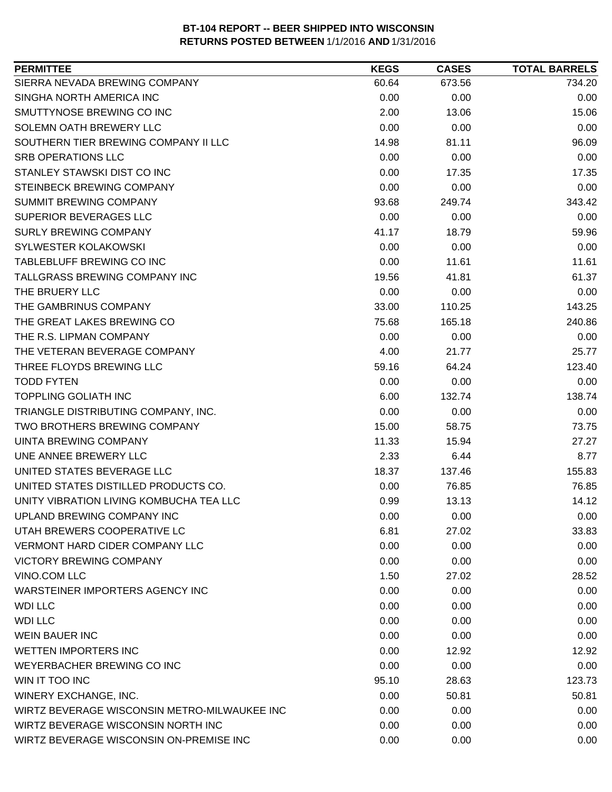| SIERRA NEVADA BREWING COMPANY<br>60.64<br>673.56<br>734.20<br>SINGHA NORTH AMERICA INC<br>0.00<br>0.00<br>0.00<br>SMUTTYNOSE BREWING CO INC<br>2.00<br>15.06<br>13.06<br>SOLEMN OATH BREWERY LLC<br>0.00<br>0.00<br>0.00<br>SOUTHERN TIER BREWING COMPANY II LLC<br>14.98<br>81.11<br>96.09<br><b>SRB OPERATIONS LLC</b><br>0.00<br>0.00<br>0.00<br>STANLEY STAWSKI DIST CO INC<br>0.00<br>17.35<br>17.35<br>STEINBECK BREWING COMPANY<br>0.00<br>0.00<br>0.00<br>SUMMIT BREWING COMPANY<br>343.42<br>93.68<br>249.74<br>SUPERIOR BEVERAGES LLC<br>0.00<br>0.00<br>0.00<br><b>SURLY BREWING COMPANY</b><br>59.96<br>41.17<br>18.79<br>0.00<br><b>SYLWESTER KOLAKOWSKI</b><br>0.00<br>0.00<br>TABLEBLUFF BREWING CO INC<br>0.00<br>11.61<br>11.61<br>TALLGRASS BREWING COMPANY INC<br>61.37<br>19.56<br>41.81<br>THE BRUERY LLC<br>0.00<br>0.00<br>0.00<br>143.25<br>THE GAMBRINUS COMPANY<br>33.00<br>110.25<br>THE GREAT LAKES BREWING CO<br>165.18<br>240.86<br>75.68<br>THE R.S. LIPMAN COMPANY<br>0.00<br>0.00<br>0.00<br>THE VETERAN BEVERAGE COMPANY<br>25.77<br>4.00<br>21.77<br>THREE FLOYDS BREWING LLC<br>123.40<br>59.16<br>64.24<br><b>TODD FYTEN</b><br>0.00<br>0.00<br>0.00<br><b>TOPPLING GOLIATH INC</b><br>138.74<br>6.00<br>132.74<br>TRIANGLE DISTRIBUTING COMPANY, INC.<br>0.00<br>0.00<br>0.00<br>TWO BROTHERS BREWING COMPANY<br>15.00<br>58.75<br>73.75<br>27.27<br><b>UINTA BREWING COMPANY</b><br>11.33<br>15.94<br>UNE ANNEE BREWERY LLC<br>8.77<br>2.33<br>6.44<br>UNITED STATES BEVERAGE LLC<br>155.83<br>18.37<br>137.46<br>UNITED STATES DISTILLED PRODUCTS CO.<br>76.85<br>0.00<br>76.85<br>UNITY VIBRATION LIVING KOMBUCHA TEA LLC<br>0.99<br>13.13<br>14.12<br>UPLAND BREWING COMPANY INC<br>0.00<br>0.00<br>0.00<br>UTAH BREWERS COOPERATIVE LC<br>6.81<br>33.83<br>27.02<br><b>VERMONT HARD CIDER COMPANY LLC</b><br>0.00<br>0.00<br>0.00<br><b>VICTORY BREWING COMPANY</b><br>0.00<br>0.00<br>0.00<br>VINO.COM LLC<br>1.50<br>27.02<br>28.52<br><b>WARSTEINER IMPORTERS AGENCY INC</b><br>0.00<br>0.00<br>0.00<br><b>WDI LLC</b><br>0.00<br>0.00<br>0.00<br><b>WDI LLC</b><br>0.00<br>0.00<br>0.00<br><b>WEIN BAUER INC</b><br>0.00<br>0.00<br>0.00<br><b>WETTEN IMPORTERS INC</b><br>0.00<br>12.92<br>12.92<br>WEYERBACHER BREWING CO INC<br>0.00<br>0.00<br>0.00<br>WIN IT TOO INC<br>95.10<br>28.63<br>123.73<br>WINERY EXCHANGE, INC.<br>50.81<br>50.81<br>0.00<br>WIRTZ BEVERAGE WISCONSIN METRO-MILWAUKEE INC<br>0.00<br>0.00<br>0.00<br>WIRTZ BEVERAGE WISCONSIN NORTH INC<br>0.00<br>0.00<br>0.00<br>WIRTZ BEVERAGE WISCONSIN ON-PREMISE INC<br>0.00<br>0.00<br>0.00 | <b>PERMITTEE</b> | <b>KEGS</b> | <b>CASES</b> | <b>TOTAL BARRELS</b> |
|------------------------------------------------------------------------------------------------------------------------------------------------------------------------------------------------------------------------------------------------------------------------------------------------------------------------------------------------------------------------------------------------------------------------------------------------------------------------------------------------------------------------------------------------------------------------------------------------------------------------------------------------------------------------------------------------------------------------------------------------------------------------------------------------------------------------------------------------------------------------------------------------------------------------------------------------------------------------------------------------------------------------------------------------------------------------------------------------------------------------------------------------------------------------------------------------------------------------------------------------------------------------------------------------------------------------------------------------------------------------------------------------------------------------------------------------------------------------------------------------------------------------------------------------------------------------------------------------------------------------------------------------------------------------------------------------------------------------------------------------------------------------------------------------------------------------------------------------------------------------------------------------------------------------------------------------------------------------------------------------------------------------------------------------------------------------------------------------------------------------------------------------------------------------------------------------------------------------------------------------------------------------------------------------------------------------------------------------------------------------------------------------------------------------------------------------------------------------------------------------------------------------------------------------------------------------------------------------------------------|------------------|-------------|--------------|----------------------|
|                                                                                                                                                                                                                                                                                                                                                                                                                                                                                                                                                                                                                                                                                                                                                                                                                                                                                                                                                                                                                                                                                                                                                                                                                                                                                                                                                                                                                                                                                                                                                                                                                                                                                                                                                                                                                                                                                                                                                                                                                                                                                                                                                                                                                                                                                                                                                                                                                                                                                                                                                                                                                  |                  |             |              |                      |
|                                                                                                                                                                                                                                                                                                                                                                                                                                                                                                                                                                                                                                                                                                                                                                                                                                                                                                                                                                                                                                                                                                                                                                                                                                                                                                                                                                                                                                                                                                                                                                                                                                                                                                                                                                                                                                                                                                                                                                                                                                                                                                                                                                                                                                                                                                                                                                                                                                                                                                                                                                                                                  |                  |             |              |                      |
|                                                                                                                                                                                                                                                                                                                                                                                                                                                                                                                                                                                                                                                                                                                                                                                                                                                                                                                                                                                                                                                                                                                                                                                                                                                                                                                                                                                                                                                                                                                                                                                                                                                                                                                                                                                                                                                                                                                                                                                                                                                                                                                                                                                                                                                                                                                                                                                                                                                                                                                                                                                                                  |                  |             |              |                      |
|                                                                                                                                                                                                                                                                                                                                                                                                                                                                                                                                                                                                                                                                                                                                                                                                                                                                                                                                                                                                                                                                                                                                                                                                                                                                                                                                                                                                                                                                                                                                                                                                                                                                                                                                                                                                                                                                                                                                                                                                                                                                                                                                                                                                                                                                                                                                                                                                                                                                                                                                                                                                                  |                  |             |              |                      |
|                                                                                                                                                                                                                                                                                                                                                                                                                                                                                                                                                                                                                                                                                                                                                                                                                                                                                                                                                                                                                                                                                                                                                                                                                                                                                                                                                                                                                                                                                                                                                                                                                                                                                                                                                                                                                                                                                                                                                                                                                                                                                                                                                                                                                                                                                                                                                                                                                                                                                                                                                                                                                  |                  |             |              |                      |
|                                                                                                                                                                                                                                                                                                                                                                                                                                                                                                                                                                                                                                                                                                                                                                                                                                                                                                                                                                                                                                                                                                                                                                                                                                                                                                                                                                                                                                                                                                                                                                                                                                                                                                                                                                                                                                                                                                                                                                                                                                                                                                                                                                                                                                                                                                                                                                                                                                                                                                                                                                                                                  |                  |             |              |                      |
|                                                                                                                                                                                                                                                                                                                                                                                                                                                                                                                                                                                                                                                                                                                                                                                                                                                                                                                                                                                                                                                                                                                                                                                                                                                                                                                                                                                                                                                                                                                                                                                                                                                                                                                                                                                                                                                                                                                                                                                                                                                                                                                                                                                                                                                                                                                                                                                                                                                                                                                                                                                                                  |                  |             |              |                      |
|                                                                                                                                                                                                                                                                                                                                                                                                                                                                                                                                                                                                                                                                                                                                                                                                                                                                                                                                                                                                                                                                                                                                                                                                                                                                                                                                                                                                                                                                                                                                                                                                                                                                                                                                                                                                                                                                                                                                                                                                                                                                                                                                                                                                                                                                                                                                                                                                                                                                                                                                                                                                                  |                  |             |              |                      |
|                                                                                                                                                                                                                                                                                                                                                                                                                                                                                                                                                                                                                                                                                                                                                                                                                                                                                                                                                                                                                                                                                                                                                                                                                                                                                                                                                                                                                                                                                                                                                                                                                                                                                                                                                                                                                                                                                                                                                                                                                                                                                                                                                                                                                                                                                                                                                                                                                                                                                                                                                                                                                  |                  |             |              |                      |
|                                                                                                                                                                                                                                                                                                                                                                                                                                                                                                                                                                                                                                                                                                                                                                                                                                                                                                                                                                                                                                                                                                                                                                                                                                                                                                                                                                                                                                                                                                                                                                                                                                                                                                                                                                                                                                                                                                                                                                                                                                                                                                                                                                                                                                                                                                                                                                                                                                                                                                                                                                                                                  |                  |             |              |                      |
|                                                                                                                                                                                                                                                                                                                                                                                                                                                                                                                                                                                                                                                                                                                                                                                                                                                                                                                                                                                                                                                                                                                                                                                                                                                                                                                                                                                                                                                                                                                                                                                                                                                                                                                                                                                                                                                                                                                                                                                                                                                                                                                                                                                                                                                                                                                                                                                                                                                                                                                                                                                                                  |                  |             |              |                      |
|                                                                                                                                                                                                                                                                                                                                                                                                                                                                                                                                                                                                                                                                                                                                                                                                                                                                                                                                                                                                                                                                                                                                                                                                                                                                                                                                                                                                                                                                                                                                                                                                                                                                                                                                                                                                                                                                                                                                                                                                                                                                                                                                                                                                                                                                                                                                                                                                                                                                                                                                                                                                                  |                  |             |              |                      |
|                                                                                                                                                                                                                                                                                                                                                                                                                                                                                                                                                                                                                                                                                                                                                                                                                                                                                                                                                                                                                                                                                                                                                                                                                                                                                                                                                                                                                                                                                                                                                                                                                                                                                                                                                                                                                                                                                                                                                                                                                                                                                                                                                                                                                                                                                                                                                                                                                                                                                                                                                                                                                  |                  |             |              |                      |
|                                                                                                                                                                                                                                                                                                                                                                                                                                                                                                                                                                                                                                                                                                                                                                                                                                                                                                                                                                                                                                                                                                                                                                                                                                                                                                                                                                                                                                                                                                                                                                                                                                                                                                                                                                                                                                                                                                                                                                                                                                                                                                                                                                                                                                                                                                                                                                                                                                                                                                                                                                                                                  |                  |             |              |                      |
|                                                                                                                                                                                                                                                                                                                                                                                                                                                                                                                                                                                                                                                                                                                                                                                                                                                                                                                                                                                                                                                                                                                                                                                                                                                                                                                                                                                                                                                                                                                                                                                                                                                                                                                                                                                                                                                                                                                                                                                                                                                                                                                                                                                                                                                                                                                                                                                                                                                                                                                                                                                                                  |                  |             |              |                      |
|                                                                                                                                                                                                                                                                                                                                                                                                                                                                                                                                                                                                                                                                                                                                                                                                                                                                                                                                                                                                                                                                                                                                                                                                                                                                                                                                                                                                                                                                                                                                                                                                                                                                                                                                                                                                                                                                                                                                                                                                                                                                                                                                                                                                                                                                                                                                                                                                                                                                                                                                                                                                                  |                  |             |              |                      |
|                                                                                                                                                                                                                                                                                                                                                                                                                                                                                                                                                                                                                                                                                                                                                                                                                                                                                                                                                                                                                                                                                                                                                                                                                                                                                                                                                                                                                                                                                                                                                                                                                                                                                                                                                                                                                                                                                                                                                                                                                                                                                                                                                                                                                                                                                                                                                                                                                                                                                                                                                                                                                  |                  |             |              |                      |
|                                                                                                                                                                                                                                                                                                                                                                                                                                                                                                                                                                                                                                                                                                                                                                                                                                                                                                                                                                                                                                                                                                                                                                                                                                                                                                                                                                                                                                                                                                                                                                                                                                                                                                                                                                                                                                                                                                                                                                                                                                                                                                                                                                                                                                                                                                                                                                                                                                                                                                                                                                                                                  |                  |             |              |                      |
|                                                                                                                                                                                                                                                                                                                                                                                                                                                                                                                                                                                                                                                                                                                                                                                                                                                                                                                                                                                                                                                                                                                                                                                                                                                                                                                                                                                                                                                                                                                                                                                                                                                                                                                                                                                                                                                                                                                                                                                                                                                                                                                                                                                                                                                                                                                                                                                                                                                                                                                                                                                                                  |                  |             |              |                      |
|                                                                                                                                                                                                                                                                                                                                                                                                                                                                                                                                                                                                                                                                                                                                                                                                                                                                                                                                                                                                                                                                                                                                                                                                                                                                                                                                                                                                                                                                                                                                                                                                                                                                                                                                                                                                                                                                                                                                                                                                                                                                                                                                                                                                                                                                                                                                                                                                                                                                                                                                                                                                                  |                  |             |              |                      |
|                                                                                                                                                                                                                                                                                                                                                                                                                                                                                                                                                                                                                                                                                                                                                                                                                                                                                                                                                                                                                                                                                                                                                                                                                                                                                                                                                                                                                                                                                                                                                                                                                                                                                                                                                                                                                                                                                                                                                                                                                                                                                                                                                                                                                                                                                                                                                                                                                                                                                                                                                                                                                  |                  |             |              |                      |
|                                                                                                                                                                                                                                                                                                                                                                                                                                                                                                                                                                                                                                                                                                                                                                                                                                                                                                                                                                                                                                                                                                                                                                                                                                                                                                                                                                                                                                                                                                                                                                                                                                                                                                                                                                                                                                                                                                                                                                                                                                                                                                                                                                                                                                                                                                                                                                                                                                                                                                                                                                                                                  |                  |             |              |                      |
|                                                                                                                                                                                                                                                                                                                                                                                                                                                                                                                                                                                                                                                                                                                                                                                                                                                                                                                                                                                                                                                                                                                                                                                                                                                                                                                                                                                                                                                                                                                                                                                                                                                                                                                                                                                                                                                                                                                                                                                                                                                                                                                                                                                                                                                                                                                                                                                                                                                                                                                                                                                                                  |                  |             |              |                      |
|                                                                                                                                                                                                                                                                                                                                                                                                                                                                                                                                                                                                                                                                                                                                                                                                                                                                                                                                                                                                                                                                                                                                                                                                                                                                                                                                                                                                                                                                                                                                                                                                                                                                                                                                                                                                                                                                                                                                                                                                                                                                                                                                                                                                                                                                                                                                                                                                                                                                                                                                                                                                                  |                  |             |              |                      |
|                                                                                                                                                                                                                                                                                                                                                                                                                                                                                                                                                                                                                                                                                                                                                                                                                                                                                                                                                                                                                                                                                                                                                                                                                                                                                                                                                                                                                                                                                                                                                                                                                                                                                                                                                                                                                                                                                                                                                                                                                                                                                                                                                                                                                                                                                                                                                                                                                                                                                                                                                                                                                  |                  |             |              |                      |
|                                                                                                                                                                                                                                                                                                                                                                                                                                                                                                                                                                                                                                                                                                                                                                                                                                                                                                                                                                                                                                                                                                                                                                                                                                                                                                                                                                                                                                                                                                                                                                                                                                                                                                                                                                                                                                                                                                                                                                                                                                                                                                                                                                                                                                                                                                                                                                                                                                                                                                                                                                                                                  |                  |             |              |                      |
|                                                                                                                                                                                                                                                                                                                                                                                                                                                                                                                                                                                                                                                                                                                                                                                                                                                                                                                                                                                                                                                                                                                                                                                                                                                                                                                                                                                                                                                                                                                                                                                                                                                                                                                                                                                                                                                                                                                                                                                                                                                                                                                                                                                                                                                                                                                                                                                                                                                                                                                                                                                                                  |                  |             |              |                      |
|                                                                                                                                                                                                                                                                                                                                                                                                                                                                                                                                                                                                                                                                                                                                                                                                                                                                                                                                                                                                                                                                                                                                                                                                                                                                                                                                                                                                                                                                                                                                                                                                                                                                                                                                                                                                                                                                                                                                                                                                                                                                                                                                                                                                                                                                                                                                                                                                                                                                                                                                                                                                                  |                  |             |              |                      |
|                                                                                                                                                                                                                                                                                                                                                                                                                                                                                                                                                                                                                                                                                                                                                                                                                                                                                                                                                                                                                                                                                                                                                                                                                                                                                                                                                                                                                                                                                                                                                                                                                                                                                                                                                                                                                                                                                                                                                                                                                                                                                                                                                                                                                                                                                                                                                                                                                                                                                                                                                                                                                  |                  |             |              |                      |
|                                                                                                                                                                                                                                                                                                                                                                                                                                                                                                                                                                                                                                                                                                                                                                                                                                                                                                                                                                                                                                                                                                                                                                                                                                                                                                                                                                                                                                                                                                                                                                                                                                                                                                                                                                                                                                                                                                                                                                                                                                                                                                                                                                                                                                                                                                                                                                                                                                                                                                                                                                                                                  |                  |             |              |                      |
|                                                                                                                                                                                                                                                                                                                                                                                                                                                                                                                                                                                                                                                                                                                                                                                                                                                                                                                                                                                                                                                                                                                                                                                                                                                                                                                                                                                                                                                                                                                                                                                                                                                                                                                                                                                                                                                                                                                                                                                                                                                                                                                                                                                                                                                                                                                                                                                                                                                                                                                                                                                                                  |                  |             |              |                      |
|                                                                                                                                                                                                                                                                                                                                                                                                                                                                                                                                                                                                                                                                                                                                                                                                                                                                                                                                                                                                                                                                                                                                                                                                                                                                                                                                                                                                                                                                                                                                                                                                                                                                                                                                                                                                                                                                                                                                                                                                                                                                                                                                                                                                                                                                                                                                                                                                                                                                                                                                                                                                                  |                  |             |              |                      |
|                                                                                                                                                                                                                                                                                                                                                                                                                                                                                                                                                                                                                                                                                                                                                                                                                                                                                                                                                                                                                                                                                                                                                                                                                                                                                                                                                                                                                                                                                                                                                                                                                                                                                                                                                                                                                                                                                                                                                                                                                                                                                                                                                                                                                                                                                                                                                                                                                                                                                                                                                                                                                  |                  |             |              |                      |
|                                                                                                                                                                                                                                                                                                                                                                                                                                                                                                                                                                                                                                                                                                                                                                                                                                                                                                                                                                                                                                                                                                                                                                                                                                                                                                                                                                                                                                                                                                                                                                                                                                                                                                                                                                                                                                                                                                                                                                                                                                                                                                                                                                                                                                                                                                                                                                                                                                                                                                                                                                                                                  |                  |             |              |                      |
|                                                                                                                                                                                                                                                                                                                                                                                                                                                                                                                                                                                                                                                                                                                                                                                                                                                                                                                                                                                                                                                                                                                                                                                                                                                                                                                                                                                                                                                                                                                                                                                                                                                                                                                                                                                                                                                                                                                                                                                                                                                                                                                                                                                                                                                                                                                                                                                                                                                                                                                                                                                                                  |                  |             |              |                      |
|                                                                                                                                                                                                                                                                                                                                                                                                                                                                                                                                                                                                                                                                                                                                                                                                                                                                                                                                                                                                                                                                                                                                                                                                                                                                                                                                                                                                                                                                                                                                                                                                                                                                                                                                                                                                                                                                                                                                                                                                                                                                                                                                                                                                                                                                                                                                                                                                                                                                                                                                                                                                                  |                  |             |              |                      |
|                                                                                                                                                                                                                                                                                                                                                                                                                                                                                                                                                                                                                                                                                                                                                                                                                                                                                                                                                                                                                                                                                                                                                                                                                                                                                                                                                                                                                                                                                                                                                                                                                                                                                                                                                                                                                                                                                                                                                                                                                                                                                                                                                                                                                                                                                                                                                                                                                                                                                                                                                                                                                  |                  |             |              |                      |
|                                                                                                                                                                                                                                                                                                                                                                                                                                                                                                                                                                                                                                                                                                                                                                                                                                                                                                                                                                                                                                                                                                                                                                                                                                                                                                                                                                                                                                                                                                                                                                                                                                                                                                                                                                                                                                                                                                                                                                                                                                                                                                                                                                                                                                                                                                                                                                                                                                                                                                                                                                                                                  |                  |             |              |                      |
|                                                                                                                                                                                                                                                                                                                                                                                                                                                                                                                                                                                                                                                                                                                                                                                                                                                                                                                                                                                                                                                                                                                                                                                                                                                                                                                                                                                                                                                                                                                                                                                                                                                                                                                                                                                                                                                                                                                                                                                                                                                                                                                                                                                                                                                                                                                                                                                                                                                                                                                                                                                                                  |                  |             |              |                      |
|                                                                                                                                                                                                                                                                                                                                                                                                                                                                                                                                                                                                                                                                                                                                                                                                                                                                                                                                                                                                                                                                                                                                                                                                                                                                                                                                                                                                                                                                                                                                                                                                                                                                                                                                                                                                                                                                                                                                                                                                                                                                                                                                                                                                                                                                                                                                                                                                                                                                                                                                                                                                                  |                  |             |              |                      |
|                                                                                                                                                                                                                                                                                                                                                                                                                                                                                                                                                                                                                                                                                                                                                                                                                                                                                                                                                                                                                                                                                                                                                                                                                                                                                                                                                                                                                                                                                                                                                                                                                                                                                                                                                                                                                                                                                                                                                                                                                                                                                                                                                                                                                                                                                                                                                                                                                                                                                                                                                                                                                  |                  |             |              |                      |
|                                                                                                                                                                                                                                                                                                                                                                                                                                                                                                                                                                                                                                                                                                                                                                                                                                                                                                                                                                                                                                                                                                                                                                                                                                                                                                                                                                                                                                                                                                                                                                                                                                                                                                                                                                                                                                                                                                                                                                                                                                                                                                                                                                                                                                                                                                                                                                                                                                                                                                                                                                                                                  |                  |             |              |                      |
|                                                                                                                                                                                                                                                                                                                                                                                                                                                                                                                                                                                                                                                                                                                                                                                                                                                                                                                                                                                                                                                                                                                                                                                                                                                                                                                                                                                                                                                                                                                                                                                                                                                                                                                                                                                                                                                                                                                                                                                                                                                                                                                                                                                                                                                                                                                                                                                                                                                                                                                                                                                                                  |                  |             |              |                      |
|                                                                                                                                                                                                                                                                                                                                                                                                                                                                                                                                                                                                                                                                                                                                                                                                                                                                                                                                                                                                                                                                                                                                                                                                                                                                                                                                                                                                                                                                                                                                                                                                                                                                                                                                                                                                                                                                                                                                                                                                                                                                                                                                                                                                                                                                                                                                                                                                                                                                                                                                                                                                                  |                  |             |              |                      |
|                                                                                                                                                                                                                                                                                                                                                                                                                                                                                                                                                                                                                                                                                                                                                                                                                                                                                                                                                                                                                                                                                                                                                                                                                                                                                                                                                                                                                                                                                                                                                                                                                                                                                                                                                                                                                                                                                                                                                                                                                                                                                                                                                                                                                                                                                                                                                                                                                                                                                                                                                                                                                  |                  |             |              |                      |